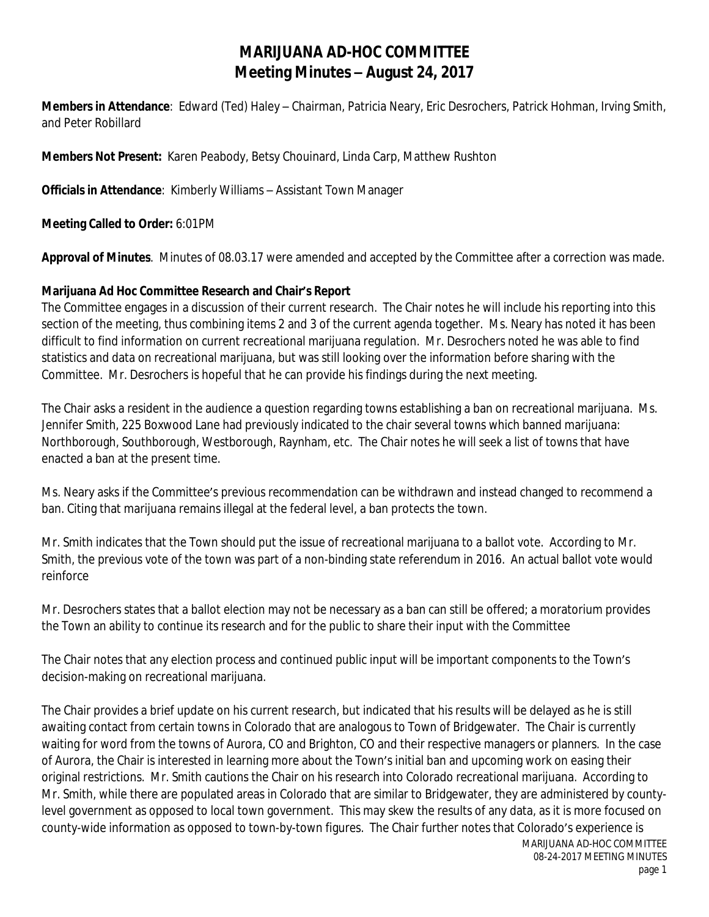## **MARIJUANA AD-HOC COMMITTEE Meeting Minutes – August 24, 2017**

**Members in Attendance**: Edward (Ted) Haley – Chairman, Patricia Neary, Eric Desrochers, Patrick Hohman, Irving Smith, and Peter Robillard

**Members Not Present:** Karen Peabody, Betsy Chouinard, Linda Carp, Matthew Rushton

**Officials in Attendance**: Kimberly Williams – Assistant Town Manager

**Meeting Called to Order:** 6:01PM

**Approval of Minutes**. Minutes of 08.03.17 were amended and accepted by the Committee after a correction was made.

## **Marijuana Ad Hoc Committee Research and Chair's Report**

The Committee engages in a discussion of their current research. The Chair notes he will include his reporting into this section of the meeting, thus combining items 2 and 3 of the current agenda together. Ms. Neary has noted it has been difficult to find information on current recreational marijuana regulation. Mr. Desrochers noted he was able to find statistics and data on recreational marijuana, but was still looking over the information before sharing with the Committee. Mr. Desrochers is hopeful that he can provide his findings during the next meeting.

The Chair asks a resident in the audience a question regarding towns establishing a ban on recreational marijuana. Ms. Jennifer Smith, 225 Boxwood Lane had previously indicated to the chair several towns which banned marijuana: Northborough, Southborough, Westborough, Raynham, etc. The Chair notes he will seek a list of towns that have enacted a ban at the present time.

Ms. Neary asks if the Committee's previous recommendation can be withdrawn and instead changed to recommend a ban. Citing that marijuana remains illegal at the federal level, a ban protects the town.

Mr. Smith indicates that the Town should put the issue of recreational marijuana to a ballot vote. According to Mr. Smith, the previous vote of the town was part of a non-binding state referendum in 2016. An actual ballot vote would reinforce

Mr. Desrochers states that a ballot election may not be necessary as a ban can still be offered; a moratorium provides the Town an ability to continue its research and for the public to share their input with the Committee

The Chair notes that any election process and continued public input will be important components to the Town's decision-making on recreational marijuana.

The Chair provides a brief update on his current research, but indicated that his results will be delayed as he is still awaiting contact from certain towns in Colorado that are analogous to Town of Bridgewater. The Chair is currently waiting for word from the towns of Aurora, CO and Brighton, CO and their respective managers or planners. In the case of Aurora, the Chair is interested in learning more about the Town's initial ban and upcoming work on easing their original restrictions. Mr. Smith cautions the Chair on his research into Colorado recreational marijuana. According to Mr. Smith, while there are populated areas in Colorado that are similar to Bridgewater, they are administered by countylevel government as opposed to local town government. This may skew the results of any data, as it is more focused on county-wide information as opposed to town-by-town figures. The Chair further notes that Colorado's experience is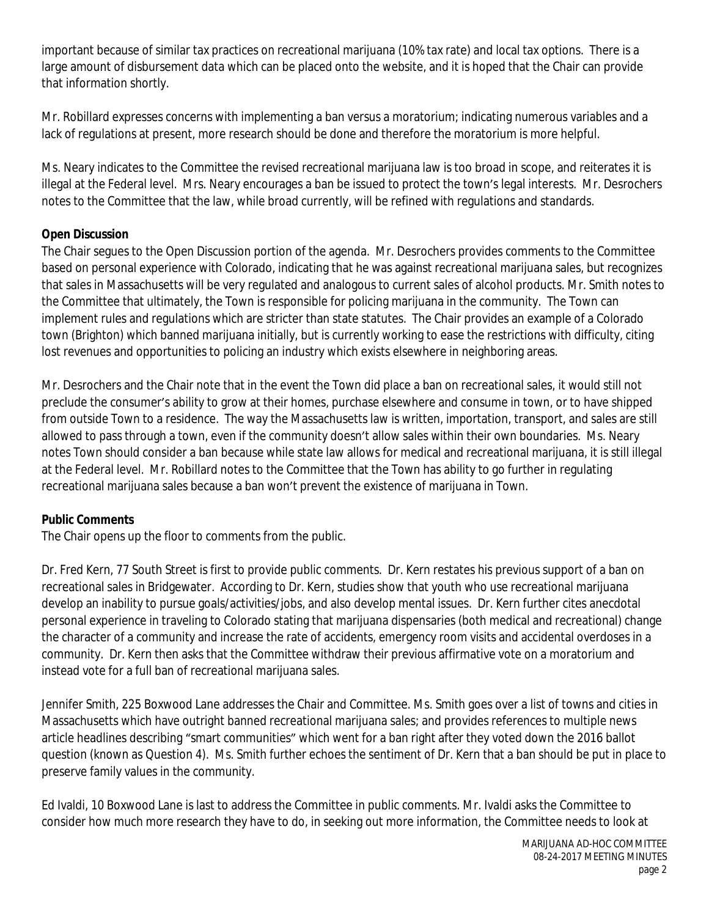important because of similar tax practices on recreational marijuana (10% tax rate) and local tax options. There is a large amount of disbursement data which can be placed onto the website, and it is hoped that the Chair can provide that information shortly.

Mr. Robillard expresses concerns with implementing a ban versus a moratorium; indicating numerous variables and a lack of regulations at present, more research should be done and therefore the moratorium is more helpful.

Ms. Neary indicates to the Committee the revised recreational marijuana law is too broad in scope, and reiterates it is illegal at the Federal level. Mrs. Neary encourages a ban be issued to protect the town's legal interests. Mr. Desrochers notes to the Committee that the law, while broad currently, will be refined with regulations and standards.

## **Open Discussion**

The Chair segues to the Open Discussion portion of the agenda. Mr. Desrochers provides comments to the Committee based on personal experience with Colorado, indicating that he was against recreational marijuana sales, but recognizes that sales in Massachusetts will be very regulated and analogous to current sales of alcohol products. Mr. Smith notes to the Committee that ultimately, the Town is responsible for policing marijuana in the community. The Town can implement rules and regulations which are stricter than state statutes. The Chair provides an example of a Colorado town (Brighton) which banned marijuana initially, but is currently working to ease the restrictions with difficulty, citing lost revenues and opportunities to policing an industry which exists elsewhere in neighboring areas.

Mr. Desrochers and the Chair note that in the event the Town did place a ban on recreational sales, it would still not preclude the consumer's ability to grow at their homes, purchase elsewhere and consume in town, or to have shipped from outside Town to a residence. The way the Massachusetts law is written, importation, transport, and sales are still allowed to pass through a town, even if the community doesn't allow sales within their own boundaries. Ms. Neary notes Town should consider a ban because while state law allows for medical and recreational marijuana, it is still illegal at the Federal level. Mr. Robillard notes to the Committee that the Town has ability to go further in regulating recreational marijuana sales because a ban won't prevent the existence of marijuana in Town.

## **Public Comments**

The Chair opens up the floor to comments from the public.

Dr. Fred Kern, 77 South Street is first to provide public comments. Dr. Kern restates his previous support of a ban on recreational sales in Bridgewater. According to Dr. Kern, studies show that youth who use recreational marijuana develop an inability to pursue goals/activities/jobs, and also develop mental issues. Dr. Kern further cites anecdotal personal experience in traveling to Colorado stating that marijuana dispensaries (both medical and recreational) change the character of a community and increase the rate of accidents, emergency room visits and accidental overdoses in a community. Dr. Kern then asks that the Committee withdraw their previous affirmative vote on a moratorium and instead vote for a full ban of recreational marijuana sales.

Jennifer Smith, 225 Boxwood Lane addresses the Chair and Committee. Ms. Smith goes over a list of towns and cities in Massachusetts which have outright banned recreational marijuana sales; and provides references to multiple news article headlines describing "smart communities" which went for a ban right after they voted down the 2016 ballot question (known as Question 4). Ms. Smith further echoes the sentiment of Dr. Kern that a ban should be put in place to preserve family values in the community.

Ed Ivaldi, 10 Boxwood Lane is last to address the Committee in public comments. Mr. Ivaldi asks the Committee to consider how much more research they have to do, in seeking out more information, the Committee needs to look at